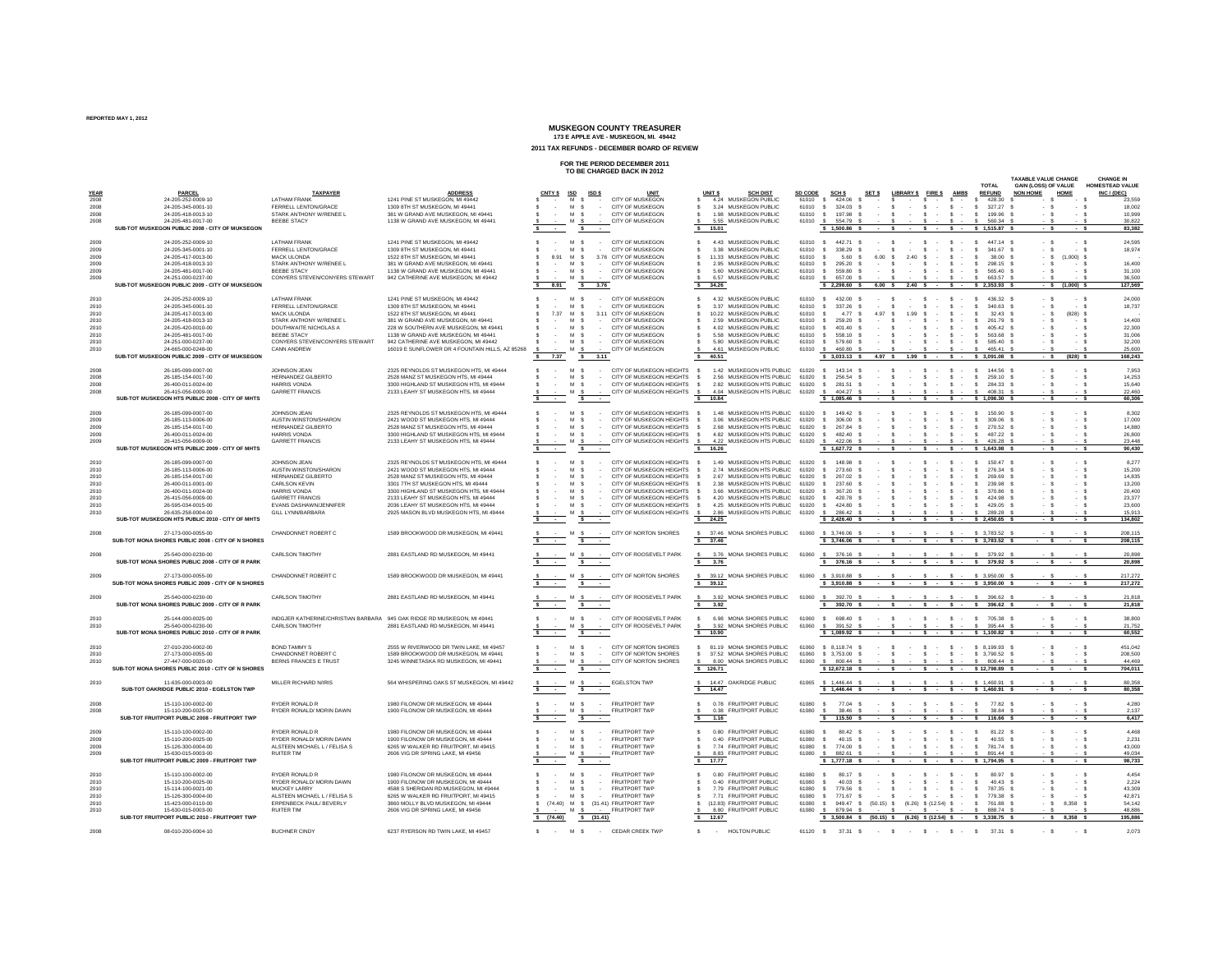#### **REPORTED MAY 1, 2012**

# **MUSKEGON COUNTY TREASURER 173 E APPLE AVE - MUSKEGON, MI. 49442**

### **2011 TAX REFUNDS - DECEMBER BOARD OF REVIEW**

## **FOR THE PERIOD DECEMBER 2011 TO BE CHARGED BACK IN 2012**

| TO BE CHARGED BACK IN 2012 |                                                                          |                                                                         |                                                                                 |                              |                                             |                                                                                                       |              |                                                                           |                |                                                                                                                                                                                                                                                                                                                                                              |               |                                                                 |                                                         |                                 | <b>TAXABLE VALUE CHANGE</b>             |                             | <b>CHANGE IN</b>       |                        |
|----------------------------|--------------------------------------------------------------------------|-------------------------------------------------------------------------|---------------------------------------------------------------------------------|------------------------------|---------------------------------------------|-------------------------------------------------------------------------------------------------------|--------------|---------------------------------------------------------------------------|----------------|--------------------------------------------------------------------------------------------------------------------------------------------------------------------------------------------------------------------------------------------------------------------------------------------------------------------------------------------------------------|---------------|-----------------------------------------------------------------|---------------------------------------------------------|---------------------------------|-----------------------------------------|-----------------------------|------------------------|------------------------|
|                            |                                                                          |                                                                         |                                                                                 |                              |                                             |                                                                                                       |              |                                                                           |                |                                                                                                                                                                                                                                                                                                                                                              |               |                                                                 |                                                         |                                 | <b>TOTAL</b>                            | <b>GAIN (LOSS) OF VALUE</b> |                        | <b>HOMESTEAD VALUE</b> |
| <b>YEAR</b>                | PARCEL                                                                   | <b>TAXPAYER</b><br><b>LATHAM FRANK</b>                                  | <b>ADDRESS</b><br>1241 PINE ST MUSKEGON, MI 49442                               |                              | CNTY \$ ISD ISD \$<br>M \$ CITY OF MUSKEGON | <b>UNIT</b>                                                                                           | UNIT S       | <b>SCH DIST</b><br>\$4.24 MUSKEGON PUBLIC                                 |                | SD CODE SCHS                                                                                                                                                                                                                                                                                                                                                 |               | SET \$ LIBRARY \$ FIRE \$ AMBS                                  |                                                         |                                 | <b>REFUND</b>                           | NON HOME                    | HOME                   | INC / (DEC)<br>23,559  |
| 2008<br>2008               | 24-205-252-0009-10<br>24-205-345-0001-10                                 | FERRELL LENTON/GRACE                                                    | 1309 STH ST MUSKEGON ML49441                                                    | $\epsilon$                   | $-MS$                                       | - CITY OF MUSKEGON                                                                                    | $\mathbf{s}$ | 3.24 MUSKEGON PUBLIC                                                      | 61010          | $$424.06$ S<br>61010 \$ 324.03 \$                                                                                                                                                                                                                                                                                                                            | $\sim$ $\sim$ | $S \rightarrow S \rightarrow S$ .                               | $\sim$ $s$ $\sim$ $s$ $\sim$                            | $\sim$                          | \$428.30<br>327 27 S                    | $\cdot$ s                   | $\sim$ s               | 18.002                 |
| 2008                       | 24-205-418-0013-10                                                       | STARK ANTHONY W/RENEE L                                                 | 381 W GRAND AVE MUSKEGON, MI 49441                                              | $\sim$                       | M <sub>S</sub>                              | - CITY OF MUSKEGON                                                                                    |              | 1.98 MUSKEGON PUBLIC                                                      | 61010          | 197.98 S                                                                                                                                                                                                                                                                                                                                                     | $\cdot$ s     |                                                                 | $\sim$ $s$ $\sim$ $s$ $\sim$                            |                                 | 199.96 S                                | $\cdot$ s                   | $\cdot$ s              | 10.99                  |
| 2008                       | 24-205-481-0017-00                                                       | <b>BEEBE STACY</b>                                                      | 1138 W GRAND AVE MUSKEGON, MI 49441                                             |                              | $M$ S                                       | - CITY OF MUSKEGON                                                                                    |              | 5.55 MUSKEGON PUBLIC                                                      | 61010          | 554.79 S                                                                                                                                                                                                                                                                                                                                                     |               |                                                                 |                                                         |                                 | 560.34                                  |                             |                        | 30.822                 |
|                            | SUB-TOT MUSKEGON PUBLIC 2008 - CITY OF MUKSEGON                          |                                                                         |                                                                                 |                              | $S \rightarrow$                             |                                                                                                       | \$ 15.01     |                                                                           |                | \$1,500.86 \$                                                                                                                                                                                                                                                                                                                                                |               | $-5 - 5 - 5 - 5 - 515.87$                                       |                                                         |                                 |                                         | - s                         | - s                    | 83.382                 |
| 2009                       | 24-205-252-0009-10                                                       | <b>LATHAM FRANK</b>                                                     | 1241 PINE ST MUSKEGON ML49442                                                   | $\epsilon$<br>$\sim$         | M S - CITY OF MUSKEGON                      |                                                                                                       | $\mathbf{s}$ | 4.43 MUSKEGON PUBLIC                                                      | 61010          | $\mathbf{s}$<br>44271 \$                                                                                                                                                                                                                                                                                                                                     | $\sim$ $s$    |                                                                 | $\cdot$ $\cdot$ $\cdot$ $\cdot$ $\cdot$                 | $\sim$                          | 447 14 \$                               | $\cdot$ s                   | $-$ \$                 | 24.595                 |
| 2009                       | 24-205-345-0001-10                                                       | FERRELL LENTON/GRACE                                                    | 1309 8TH ST MUSKEGON, MI 49441                                                  | $\sim$                       | $M$ S                                       | CITY OF MUSKEGON                                                                                      |              | 3.38 MUSKEGON PUBLIC                                                      | 61010          | 338.29 S<br>$\sim$                                                                                                                                                                                                                                                                                                                                           | $\sim$ $\sim$ |                                                                 | $\sim$ $s$ $\sim$ $s$ $\sim$                            | $\mathbf{s}$                    | 341.67 \$                               | $\cdot$ s                   | . ه                    | 18.974                 |
| 2009                       | 24-205-417-0013-00                                                       | MACK ULONDA                                                             | 1522 8TH ST MUSKEGON, MI 49441                                                  |                              | 8.91 M \$ 3.76 CITY OF MUSKEGON             |                                                                                                       |              | 11.33 MUSKEGON PUBLIC                                                     | 61010          | 5.60 S                                                                                                                                                                                                                                                                                                                                                       |               | $6.00 \quad $2.40 \quad $3 \quad . \quad $3 \quad .$            |                                                         | <b>S</b>                        | 38.00 S                                 | $-5$                        | $(1,000)$ \$           |                        |
| 2009                       | 24-205-418-0013-10                                                       | STARK ANTHONY W/RENEE L                                                 | 381 W GRAND AVE MUSKEGON, MI 49441                                              | -S.<br>$\sim$                | M \$ CITY OF MUSKEGON                       |                                                                                                       |              | 2.95 MUSKEGON PUBLIC                                                      | 61010          | 295.20 S<br>$\sim$                                                                                                                                                                                                                                                                                                                                           | $\sim$ $\sim$ |                                                                 | $\cdot$ $s$ $\cdot$ $s$ $\cdot$ $s$                     |                                 | 298.15 S                                | $-5$                        | $-$ s                  | 16,400                 |
| 2009<br>2009               | 24-205-481-0017-00<br>24-251-000-0237-00                                 | <b>BEEBE STACY</b><br>CONYERS STEVEN/CONYERS STEWART                    | 1138 W GRAND AVE MUSKEGON. MI 49441<br>942 CATHERINE AVE MUSKEGON, MI 49442     |                              | - M S - CITY OF MUSKEGON                    |                                                                                                       | s.           | 5.60 MUSKEGON PUBLIC<br>6.57 MUSKEGON PUBLIC                              | 61010<br>61010 | s.<br>559.80 S<br>657.00 \$                                                                                                                                                                                                                                                                                                                                  | - s           |                                                                 | $\cdot$ $\cdot$ $\cdot$ $\cdot$ $\cdot$ $\cdot$         | s.                              | 565.40 S<br>663.57 \$                   | $\cdot$ s                   | . s                    | 31,100<br>36.500       |
|                            | SUB-TOT MUSKEGON PUBLIC 2009 - CITY OF MUKSEGON                          |                                                                         |                                                                                 | 8.91                         | $M_S$<br>\$3.76                             | - CITY OF MUSKEGON                                                                                    | \$34.26      |                                                                           |                | $$2,298.60$ \$ 6.00 \$ 2.40 \$ - \$ - \$ 2,353.93 \$                                                                                                                                                                                                                                                                                                         |               |                                                                 |                                                         |                                 |                                         |                             | $-5$ (1,000) S         | 127.569                |
|                            |                                                                          |                                                                         |                                                                                 |                              |                                             |                                                                                                       |              |                                                                           |                |                                                                                                                                                                                                                                                                                                                                                              |               |                                                                 |                                                         |                                 |                                         |                             |                        |                        |
| 2010                       | 24-205-252-0009-10                                                       | <b>LATHAM FRANK</b>                                                     | 1241 PINE ST MUSKEGON, MI 49442                                                 | $\sim$                       | $M$ S                                       | - CITY OF MUSKEGON                                                                                    | s.           | 4.32 MUSKEGON PUBLIC                                                      | 61010          | 432.00 S<br>$\mathbf{s}$                                                                                                                                                                                                                                                                                                                                     |               | $\mathbf{s}$<br>$\sim$                                          | s.<br><b>Service</b>                                    | $S \rightarrow$<br>$\mathbf{s}$ | 436.32 S                                | $\cdot$ s                   | - s                    | 24,000                 |
| 2010<br>2010               | 24-205-345-0001-10<br>24-205-417-0013-00                                 | FERRELL LENTON/GRACE<br>MACK ULONDA                                     | 1309 STH ST MUSKEGON ML49441<br>1522 8TH ST MUSKEGON. MI 49441                  |                              | M S<br>7.37 M \$ 3.11 CITY OF MUSKEGON      | - CITY OF MUSKEGON                                                                                    |              | 3.37 MUSKEGON PUBLIC<br>10.22 MUSKEGON PUBLIC                             | 61010<br>61010 | 337.26 \$<br>- \$<br>477 S                                                                                                                                                                                                                                                                                                                                   | 4.97 S        | - 51                                                            | $S \sim$<br>$1.99$ \$ $-$ \$ $-$                        | $s -$<br>-S                     | 340.63 \$<br>32.43 S                    | $\cdot$ s<br>$\cdot$ s      | $\sim$ s<br>$(828)$ \$ | 18.737                 |
| 2010                       | 24-205-418-0013-10                                                       | STARK ANTHONY W/RENEE L                                                 | 381 W GRAND AVE MUSKEGON, MI 49441                                              |                              | $M_S$                                       | - CITY OF MUSKEGON                                                                                    |              | 2.59 MUSKEGON PUBLIC                                                      | 61010          | 259.20 S                                                                                                                                                                                                                                                                                                                                                     | $\sim$        | $\sim$                                                          | $s \rightarrow$                                         | $S \sim$                        | 261.79 S                                | $\cdot$ s                   | $\sim$ s               | 14,400                 |
| 2010                       | 24-205-420-0010-00                                                       | DOUTHWAITE NICHOLAS A                                                   | 228 W SOUTHERN AVE MUSKEGON, MI 49441                                           |                              | M <sub>S</sub>                              | - CITY OF MUSKEGON                                                                                    |              | 4.02 MUSKEGON PUBLIC                                                      | 61010          | 401.40 S                                                                                                                                                                                                                                                                                                                                                     |               |                                                                 | $\sim$<br>$\sim 10^{-1}$                                | $S - 1$                         | 405.42 \$                               |                             |                        | 22,300                 |
| 2010                       | 24-205-481-0017-00                                                       | <b>BEEBE STACY</b>                                                      | 1138 W GRAND AVE MUSKEGON, MI 49441                                             |                              | M <sub>S</sub>                              | - CITY OF MUSKEGON                                                                                    |              | 5.58 MUSKEGON PUBLIC                                                      | 61010          | 558.10 S<br>- S                                                                                                                                                                                                                                                                                                                                              | $\cdot$ s     |                                                                 |                                                         |                                 | 563.68 S                                | $\cdot$ s                   | $-5$                   | 31,006                 |
| 2010                       | 24-251-000-0237-00<br>24-665-000-0248-00                                 | CONYERS STEVEN/CONYERS STEWART                                          | 942 CATHERINE AVE MUSKEGON ML49442                                              |                              | - M S - CITY OF MUSKEGON                    |                                                                                                       |              | \$ 5.80 MUSKEGON PUBLIC                                                   |                | 61010 \$ 579.60 \$<br>\$460.80 S                                                                                                                                                                                                                                                                                                                             | $\sim$ $\sim$ |                                                                 | $\cdot$ $s$ $\cdot$ $s$ $\cdot$ $s$                     |                                 | 585 40 \$<br>46541 \$                   | $-5$                        | $-$ \$                 | 32,200<br>25,600       |
| 2010                       | SUB-TOT MUSKEGON PUBLIC 2009 - CITY OF MUKSEGON                          | CANN ANDREW                                                             | 16019 E SUNFLOWER DR 4 FOUNTAIN HILLS, AZ 85268                                 |                              | 7.37 \$ 3.11                                | M \$ CITY OF MUSKEGON                                                                                 | \$ 40.51     | 4.61 MUSKEGON PUBLIC                                                      | 61010          | \$ 3,033.13 \$ 4.97 \$ 1.99 \$ - \$ - \$ 3,091.08 \$                                                                                                                                                                                                                                                                                                         |               |                                                                 |                                                         |                                 |                                         | - \$                        | $(828)$ \$             | 168,243                |
|                            |                                                                          |                                                                         |                                                                                 |                              |                                             |                                                                                                       |              |                                                                           |                |                                                                                                                                                                                                                                                                                                                                                              |               |                                                                 |                                                         |                                 |                                         |                             |                        |                        |
| 2008                       | 26-185-099-0007-00                                                       | JOHNSON JEAN                                                            | 2325 REYNOLDS ST MUSKEGON HTS, MI 49444                                         | <b>Contract</b>              | $M$ S                                       | - CITY OF MUSKEGON HEIGHTS \$                                                                         |              | 1.42 MUSKEGON HTS PUBLIC 61020                                            |                | $\mathbf{s}$<br>143.14 S                                                                                                                                                                                                                                                                                                                                     | $\sim$ $s$    |                                                                 | $\cdot$ $\cdot$ $\cdot$ $\cdot$ $\cdot$ $\cdot$ $\cdot$ | s.                              | 144.56 S                                | $-5$                        | $- S$                  | 7.953                  |
| 2008                       | 26-185-154-0017-00                                                       | HERNANDEZ GILBERTO                                                      | 2528 MANZ ST MUSKEGON HTS. MI 49444                                             | <b>Service</b>               |                                             | M \$ - CITY OF MUSKEGON HEIGHTS \$ 2.56 MUSKEGON HTS PUBLIC 61020                                     |              |                                                                           |                | \$ 256.54 \$                                                                                                                                                                                                                                                                                                                                                 | $\sim$ $s$    |                                                                 |                                                         |                                 | $5 - 5 - 5 - 5$ 259.10 \$               | $\cdot$ s                   | $\cdot$ s              | 14,253                 |
| 2008<br>2008               | 26-400-011-0024-00<br>26-415-056-0009-00                                 | <b>HARRIS VONDA</b><br><b>GARRETT FRANCIS</b>                           | 3300 HIGHLAND ST MUSKEGON HTS ML49444<br>2133 LEAHY ST MUSKEGON HTS, MI 49444   |                              | $M$ S                                       | \$ M \$ - CITY OF MUSKEGON HEIGHTS \$ 2.82 MUSKEGON HTS PUBLIC 61020<br>- CITY OF MUSKEGON HEIGHTS \$ |              | 4.04 MUSKEGON HTS PUBLIC 61020                                            |                | \$ 281.51 \$<br>404.27 S                                                                                                                                                                                                                                                                                                                                     |               |                                                                 |                                                         |                                 | 408.31 \$                               | $\cdot$ s                   | $\cdot$ s              | 15,640<br>22,460       |
|                            | SUB-TOT MUSKEGON HTS PUBLIC 2008 - CITY OF MHTS                          |                                                                         |                                                                                 |                              | $\sim$ $s$ $\sim$                           |                                                                                                       | \$ 10.84     |                                                                           |                | $$1,085.46$ \$                                                                                                                                                                                                                                                                                                                                               |               | $-5$ $-5$ $-5$ $-5$ $1,096.30$ \$                               |                                                         |                                 |                                         |                             | $-5$                   | 60,306                 |
|                            |                                                                          |                                                                         |                                                                                 |                              |                                             |                                                                                                       |              |                                                                           |                |                                                                                                                                                                                                                                                                                                                                                              |               |                                                                 |                                                         |                                 |                                         |                             |                        |                        |
| 2009                       | 26-185-099-0007-00                                                       | JOHNSON JEAN                                                            | 2325 REYNOLDS ST MUSKEGON HTS, MI 49444                                         | <b>Contract Contract</b>     |                                             | M \$ - CITY OF MUSKEGON HEIGHTS \$ 1.48 MUSKEGON HTS PUBLIC 61020 \$ 149.42 \$                        |              |                                                                           |                |                                                                                                                                                                                                                                                                                                                                                              |               | $S = S$ $S = S$ $S = S$ 150.90 S                                |                                                         |                                 |                                         | $\cdot$ s                   | $-$ s                  | 8.302                  |
| 2009<br>2009               | 26-185-113-0006-00<br>26-185-154-0017-00                                 | AUSTIN WINSTON/SHARON<br>HERNANDEZ GILBERTO                             | 2421 WOOD ST MUSKEGON HTS. MI 49444<br>2528 MANZ ST MUSKEGON HTS. MI 49444      | s.<br>$-M_S$<br>$\mathbf{s}$ | $-M$ $S$                                    | - CITY OF MUSKEGON HEIGHTS \$<br>- CITY OF MUSKEGON HEIGHTS \$ 2.68 MUSKEGON HTS PUBLIC 61020         |              | 3.06 MUSKEGON HTS PUBLIC 61020                                            |                | 306.00 \$<br>s.<br>\$ 267.84 \$                                                                                                                                                                                                                                                                                                                              |               | $S = S$ $S = S$ $S = 270.52$ S                                  |                                                         |                                 |                                         | $\cdot$ s<br>$\cdot$ \$     | $\cdot$ s<br>$-$ S     | 17,000<br>14,880       |
| 2009                       | 26-400-011-0024-00                                                       | <b>HARRIS VONDA</b>                                                     | 3300 HIGHLAND ST MUSKEGON HTS. MI 49444                                         |                              |                                             | \$ M \$ CITY OF MUSKEGON HEIGHTS \$ 4.82 MUSKEGON HTS PUBLIC 61020                                    |              |                                                                           |                | $\sim$<br>482.40 S                                                                                                                                                                                                                                                                                                                                           |               | $S = S$ $S = S$ $S = S$ $487.22 S$                              |                                                         |                                 |                                         | $-5$                        | $-5$                   | 26,800                 |
| 2009                       | 26-415-056-0009-00                                                       | <b>GARRETT FRANCIS</b>                                                  | 2133 LEAHY ST MUSKEGON HTS. MI 49444                                            |                              | $M$ S                                       | - CITY OF MUSKEGON HEIGHTS \$                                                                         |              | 4.22 MUSKEGON HTS PUBLIC 61020 \$ 422.06 \$                               |                |                                                                                                                                                                                                                                                                                                                                                              |               |                                                                 | $\sim$ $s$ $\sim$                                       |                                 | \$426.28                                |                             |                        | 23.448                 |
|                            | SUB-TOT MUSKEGON HTS PUBLIC 2009 - CITY OF MHTS                          |                                                                         |                                                                                 | s.                           | $\sim$ $\sim$ $\sim$                        |                                                                                                       | \$ 16.26     |                                                                           |                | \$1,627,72 \$                                                                                                                                                                                                                                                                                                                                                |               | $S = S$ $S = S$ $S$ $1.643.98$ $S$                              |                                                         |                                 |                                         | - s                         | $-5$                   | 90,430                 |
| 2010                       | 26-185-099-0007-00                                                       | JOHNSON JEAN                                                            | 2325 REYNOLDS ST MUSKEGON HTS. MI 49444                                         | $\mathbf{s}$                 | $M$ $S$                                     | - CITY OF MUSKEGON HEIGHTS \$                                                                         |              | 1.49 MUSKEGON HTS PUBLIC 61020 \$ 148.98 \$                               |                |                                                                                                                                                                                                                                                                                                                                                              |               | $\mathsf{s}$                                                    | $\cdot$ $\cdot$ $\cdot$ $\cdot$ $\cdot$ $\cdot$         | $\sim$                          | 150.47 \$                               | $\cdot$ s                   | $-$ S                  | 8.277                  |
| 2010                       | 26-185-113-0006-00                                                       | AUSTIN WINSTON/SHARON                                                   | 2421 WOOD ST MUSKEGON HTS. MI 49444                                             | $\mathbf{s}$<br>$\sim$       | $M$ S                                       | - CITY OF MUSKEGON HEIGHTS \$                                                                         |              | 2.74 MUSKEGON HTS PUBLIC 61020 \$ 273.60 \$                               |                |                                                                                                                                                                                                                                                                                                                                                              | $\cdot$ s     |                                                                 |                                                         |                                 | 276.34 S                                | $\cdot$ s                   | $\cdot$ s              | 15,200                 |
| 2010                       | 26-185-154-0017-00                                                       | HERNANDEZ GILBERTO                                                      | 2528 MANZ ST MUSKEGON HTS, MI 49444                                             |                              | $M$ S                                       | CITY OF MUSKEGON HEIGHTS \$                                                                           |              | 2.67 MUSKEGON HTS PUBLIC 61020                                            |                | 267.02 S                                                                                                                                                                                                                                                                                                                                                     |               | $\mathsf{s}$                                                    | $\cdot$ $\cdot$ $\cdot$ $\cdot$ $\cdot$ $\cdot$ $\cdot$ |                                 | 269.69 S                                | $\cdot$ s                   | $-5$                   | 14,835                 |
| 2010                       | 26-400-011-0001-00                                                       | <b>CARLSON KEVIN</b>                                                    | 3301 7TH ST MUSKEGON HTS, MI 49444                                              |                              | $M$ $S$                                     | - CITY OF MUSKEGON HEIGHTS \$                                                                         |              | 2.38 MUSKEGON HTS PUBLIC 61020                                            |                | 237.60 S<br>- 5.                                                                                                                                                                                                                                                                                                                                             |               |                                                                 | $\cdot$ $s$ $\cdot$ $s$ $\cdot$                         | $\mathbf{s}$                    | 239.98 S                                | $\sim$ s                    | $\sim$ s               | 13,200                 |
| 2010                       | 26-400-011-0024-00                                                       | <b>HARRIS VONDA</b>                                                     | 3300 HIGHLAND ST MUSKEGON HTS ML49444                                           |                              | M S                                         | - CITY OF MUSKEGON HEIGHTS \$                                                                         |              | 3.66 MUSKEGON HTS PUBLIC 61020                                            |                | 367.20 \$<br>$\sim$                                                                                                                                                                                                                                                                                                                                          | $\sim$ $\sim$ |                                                                 | $\sim$ $s$ $\sim$ $s$ $\sim$ $s$                        |                                 | 37086 \$                                | $-5$                        | $-$ \$                 | 20,400                 |
| 2010<br>2010               | 26-415-056-0009-00<br>26-595-034-0015-00                                 | <b>GARRETT FRANCIS</b><br>EVANS DASHAWN/JENNIFER                        | 2133 LEAHY ST MUSKEGON HTS. MI 49444<br>2036 I FAHY ST MUSKEGON HTS MI 49444    | $-M_S$                       | $-MS$                                       | - CITY OF MUSKEGON HEIGHTS S<br>- CITY OF MUSKEGON HEIGHTS \$                                         |              | 4.20 MUSKEGON HTS PUBLIC 61020<br>4.25 MUSKEGON HTS PUBLIC 61020          |                | 420.78 \$<br>$\sim$<br>424.80 S<br>$\sim$                                                                                                                                                                                                                                                                                                                    | $\cdot$ s     |                                                                 | $\cdot$ $\cdot$ $\cdot$ $\cdot$ $\cdot$ $\cdot$         |                                 | 424.98 S<br>429.05 S                    | $\sim$ s<br>$\cdot$ s       | $\cdot$ s<br>$\cdot$ s | 23,377<br>23,600       |
| 2010                       | 26-635-258-0004-00                                                       | GILL LYNN/BARBARA                                                       | 2925 MASON BLVD MUSKEGON HTS, MI 49444                                          |                              | M <sub>S</sub>                              | - CITY OF MUSKEGON HEIGHTS \$                                                                         |              | 2.86 MUSKEGON HTS PUBLIC 61020                                            |                | 286.42 \$                                                                                                                                                                                                                                                                                                                                                    | $\cdot$ s     |                                                                 |                                                         |                                 | 289.28 \$                               |                             |                        | 15,913                 |
|                            | SUB-TOT MUSKEGON HTS PUBLIC 2010 - CITY OF MHTS                          |                                                                         |                                                                                 | s.                           | $\cdot$ s $\cdot$                           |                                                                                                       | \$24.25      |                                                                           |                | $$2,426.40$ \$                                                                                                                                                                                                                                                                                                                                               |               | $5 - 5 - 5 - 5 - 5 + 2,450.65$                                  |                                                         |                                 |                                         | $-5$                        | $-5$                   | 134,802                |
|                            |                                                                          |                                                                         |                                                                                 |                              |                                             |                                                                                                       |              |                                                                           |                |                                                                                                                                                                                                                                                                                                                                                              |               |                                                                 |                                                         |                                 |                                         |                             |                        |                        |
| 2008                       | 27-173-000-0055-00                                                       | CHANDONNET ROBERT C                                                     | 1589 BROOKWOOD DR MUSKEGON, MI 49441                                            |                              |                                             | M S . CITY OF NORTON SHORES                                                                           |              | \$ 37.46 MONA SHORES PUBLIC 61060                                         |                | $$3,746.06$ S                                                                                                                                                                                                                                                                                                                                                |               |                                                                 |                                                         |                                 | \$ 3.783.52 \$                          | - \$                        |                        | 208 115                |
|                            | SUB-TOT MONA SHORES PUBLIC 2008 - CITY OF N SHORES                       |                                                                         |                                                                                 |                              | $s \rightarrow$                             |                                                                                                       | \$37.46      |                                                                           |                | $$3,746.06$ \$                                                                                                                                                                                                                                                                                                                                               |               | $-$ \$ $-$ \$ $-$ \$ $-$ \$ 3,783.52 \$                         |                                                         |                                 |                                         |                             |                        | 208,115                |
| 2008                       | 25-540-000-0230-00                                                       | CARLSON TIMOTHY                                                         | 2881 EASTLAND RD MUSKEGON, MI 49441                                             |                              |                                             | - M \$ - CITY OF ROOSEVELT PARK                                                                       | s.           | 3.76 MONA SHORES PUBLIC 61060                                             |                | 376.16 S                                                                                                                                                                                                                                                                                                                                                     |               | $S = S$ $S = S$ $S = S$ 379.92 S                                |                                                         |                                 |                                         |                             |                        | 20,898                 |
|                            | SUB-TOT MONA SHORES PUBLIC 2008 - CITY OF R PARK                         |                                                                         |                                                                                 | $\sim$                       | $s \rightarrow$                             |                                                                                                       | \$3.76       |                                                                           |                | \$376.16 \$ \$ \$ \$ \$379.92 \$                                                                                                                                                                                                                                                                                                                             |               |                                                                 |                                                         |                                 |                                         |                             | $-5$ $-5$              | 20,898                 |
|                            |                                                                          |                                                                         |                                                                                 |                              |                                             |                                                                                                       |              |                                                                           |                | \$ 3,910,88 \$                                                                                                                                                                                                                                                                                                                                               |               |                                                                 |                                                         |                                 |                                         |                             |                        |                        |
| 2009                       | 27-173-000-0055-00<br>SUB-TOT MONA SHORES PUBLIC 2009 - CITY OF N SHORES | CHANDONNET ROBERT C                                                     | 1589 BROOKWOOD DR MUSKEGON, MI 49441                                            |                              | $M$ S<br>$\sim$ $s$ $\sim$                  | - CITY OF NORTON SHORES                                                                               | \$39.12      | 39.12 MONA SHORES PUBLIC 61060                                            |                | $$3,910.88$ \$ \$ \$ \$ \$ 3,950.00 \$                                                                                                                                                                                                                                                                                                                       |               | $\cdot$ $\cdot$ $\cdot$ $\cdot$ $\cdot$ $\cdot$ $\cdot$ $\cdot$ |                                                         |                                 | \$ 3,950.00 \$                          | $-5$                        |                        | 217,272<br>217,272     |
|                            |                                                                          |                                                                         |                                                                                 |                              |                                             |                                                                                                       |              |                                                                           |                |                                                                                                                                                                                                                                                                                                                                                              |               |                                                                 |                                                         |                                 |                                         |                             |                        |                        |
| 2009                       | 25-540-000-0230-00                                                       | <b>CARLSON TIMOTHY</b>                                                  | 2881 EASTLAND RD MUSKEGON. MI 49441                                             |                              |                                             | M S CITY OF ROOSEVELT PARK                                                                            |              | \$ 3.92 MONA SHORES PUBLIC 61060                                          |                | - S                                                                                                                                                                                                                                                                                                                                                          |               |                                                                 |                                                         |                                 |                                         | - \$                        | $-$ \$                 | 21.818                 |
|                            | SUB-TOT MONA SHORES PUBLIC 2009 - CITY OF R PARK                         |                                                                         |                                                                                 |                              | $\sim$                                      |                                                                                                       | $5 \t3.92$   |                                                                           |                | \$ 392.70 \$                                                                                                                                                                                                                                                                                                                                                 |               |                                                                 |                                                         |                                 |                                         | $\sim$                      |                        | 21,818                 |
| 2010                       | 25-144-000-0025-00                                                       | INDGJER KATHERINE/CHRISTIAN BARBARA 945 OAK RIDGE RD MUSKEGON, MI 49441 |                                                                                 |                              |                                             | - M \$ - CITY OF ROOSEVELT PARK                                                                       |              | 6.98 MONA SHORES PUBLIC 61060                                             |                | $\sim$<br>698.40 S                                                                                                                                                                                                                                                                                                                                           |               |                                                                 |                                                         |                                 |                                         | $-5$                        | $\cdot$ s              | 38,800                 |
| 2010                       | 25-540-000-0230-00                                                       | CARLSON TIMOTHY                                                         | 2881 EASTLAND RD MUSKEGON, MI 49441                                             |                              |                                             | M \$ - CITY OF ROOSEVELT PARK                                                                         | s.           | 3.92 MONA SHORES PUBLIC 61060                                             |                | \$ 391.52 \$                                                                                                                                                                                                                                                                                                                                                 |               |                                                                 |                                                         |                                 | \$ 395.44 \$                            |                             |                        | 21.752                 |
|                            | SUB-TOT MONA SHORES PUBLIC 2010 - CITY OF R PARK                         |                                                                         |                                                                                 | 74 L                         | $s \rightarrow$                             |                                                                                                       | \$ 10.90     |                                                                           |                | \$1,089,92 \$                                                                                                                                                                                                                                                                                                                                                |               | $-5$ $-5$ $-5$ $-5$ $1,100.82$ \$                               |                                                         |                                 |                                         | $-5$                        | - s                    | 60,552                 |
|                            |                                                                          |                                                                         |                                                                                 |                              |                                             |                                                                                                       |              |                                                                           |                |                                                                                                                                                                                                                                                                                                                                                              |               |                                                                 |                                                         |                                 |                                         |                             |                        |                        |
| 2010<br>2010               | 27-010-200-0002-00<br>27-173-000-0055-00                                 | <b>BOND TAMMY S</b><br>CHANDONNET ROBERT C                              | 2555 W RIVERWOOD DR TWIN LAKE, MI 49457<br>1589 BROOKWOOD DR MUSKEGON, MI 49441 | <b>Contract</b>              |                                             | M \$ CITY OF NORTON SHORES<br>M \$ - CITY OF NORTON SHORES                                            |              | 81.19 MONA SHORES PUBLIC 61060 \$ 8,118.74 \$<br>37.52 MONA SHORES PUBLIC | 61060          | \$ 3,753.00 \$                                                                                                                                                                                                                                                                                                                                               | $\cdot$ s     | $-$ \$ $-$ \$ $-$ \$ $-$ \$ 8,199.93 \$                         |                                                         |                                 | $S = S - S - S - S - S - S - S$         | - \$<br>$\cdot$ s           | $-$ s<br>. s           | 451,042<br>208,500     |
| 2010                       | 27-447-000-0020-00                                                       | BERNS FRANCES E TRUST                                                   | 3245 WINNETASKA RD MUSKEGON, MI 49441                                           |                              |                                             | M \$ CITY OF NORTON SHORES                                                                            |              | \$ 8.00 MONA SHORES PUBLIC                                                | 61060          | \$ 800.44 \$                                                                                                                                                                                                                                                                                                                                                 |               |                                                                 |                                                         |                                 | S 808.44 S                              |                             |                        | 44,469                 |
|                            | SUB-TOT MONA SHORES PUBLIC 2010 - CITY OF N SHORES                       |                                                                         |                                                                                 |                              | $s \rightarrow$                             |                                                                                                       | \$ 126.71    |                                                                           |                | $$12.672.18$ S                                                                                                                                                                                                                                                                                                                                               |               | $-5$ $-5$ $-5$ $-5$ $-5$ $12.798.89$ $5$                        |                                                         |                                 |                                         | $\sim$                      | $\sim$ s               | 704,011                |
|                            |                                                                          |                                                                         |                                                                                 |                              |                                             |                                                                                                       |              |                                                                           |                |                                                                                                                                                                                                                                                                                                                                                              |               |                                                                 |                                                         |                                 |                                         |                             |                        |                        |
| 2010                       | 11-635-000-0003-00<br>SUB-TOT OAKRIDGE PUBLIC 2010 - EGELSTON TWP        | MILLER RICHARD N/IRIS                                                   | 564 WHISPERING OAKS ST MUSKEGON, MI 49442                                       |                              | M S - EGELSTON TWP                          |                                                                                                       | $5 - 14.47$  | \$14.47 OAKRIDGE PUBLIC                                                   | 61065          | \$ 1446 44 \$<br>$$1,446.44$ $$5$ $$5$ $$5$ $$5$ $$5$ $$1,460.91$ $$5$                                                                                                                                                                                                                                                                                       |               |                                                                 |                                                         |                                 | \$ 1460.91 \$                           | . s<br>. s                  |                        | 80.358<br>80,358       |
|                            |                                                                          |                                                                         |                                                                                 |                              | $s \sim$                                    |                                                                                                       |              |                                                                           |                |                                                                                                                                                                                                                                                                                                                                                              |               |                                                                 |                                                         |                                 |                                         |                             |                        |                        |
| 2008                       | 15-110-100-0002-00                                                       | <b>RYDER RONALD R</b>                                                   | 1980 FILONOW DR MUSKEGON, MI 49444                                              | $\mathbf{s}$                 | - M \$ - FRUITPORT TWP                      |                                                                                                       |              | \$ 0.78 FRUITPORT PUBLIC                                                  | 61080          | \$ 77.04 \$                                                                                                                                                                                                                                                                                                                                                  |               |                                                                 |                                                         |                                 | 77.82 S                                 | $\cdot$ s                   | $\sim$ s               | 4.280                  |
| 2008                       | 15-110-200-0025-00                                                       | RYDER RONALD/ MORIN DAWN                                                | 1900 FILONOW DR MUSKEGON, MI 49444                                              |                              | M S                                         | - FRUITPORT TWP                                                                                       |              | 0.38 FRUITPORT PUBLIC                                                     | 61080          | 38.46 S<br>- 5                                                                                                                                                                                                                                                                                                                                               |               |                                                                 |                                                         |                                 | 38 84 \$                                |                             |                        | 2.137                  |
|                            | SUB-TOT FRUITPORT PUBLIC 2008 - FRUITPORT TWF                            |                                                                         |                                                                                 |                              | $\sim$ $\sim$                               |                                                                                                       | \$ 1.16      |                                                                           |                | $$115.50$ \$                                                                                                                                                                                                                                                                                                                                                 |               | $-5$ $-5$ $-5$ $-5$ $116.66$ \$                                 |                                                         |                                 |                                         | $-5$                        | $-5$                   | 6,417                  |
| 2009                       | 15-110-100-0002-00                                                       | RYDER RONALD R                                                          | 1980 FILONOW DR MUSKEGON, MI 49444                                              |                              | - M \$ - FRUITPORT TWP                      |                                                                                                       | s.           | 0.80 FRUITPORT PUBLIC                                                     | 61080          | 80.42 \$<br>$\sim$                                                                                                                                                                                                                                                                                                                                           |               |                                                                 |                                                         |                                 | 81.22 S                                 | $-5$                        | $\sim$ s               | 4.468                  |
| 2009                       | 15-110-200-0025-00                                                       | RYDER RONALD/ MORIN DAWN                                                | 1900 FILONOW DR MUSKEGON, MI 49444                                              | $\mathbf{s}$                 | - M \$ - FRUITPORT TWP                      |                                                                                                       | s.           | 0.40 FRUITPORT PUBLIC                                                     | 61080          | 40.15 S<br>- S                                                                                                                                                                                                                                                                                                                                               | $\cdot$ s     |                                                                 |                                                         |                                 | 40.55 S                                 | $-5$                        | $-$ S                  | 2.231                  |
| 2009                       | 15-126-300-0004-00                                                       | ALSTEEN MICHAEL L / FELISA S                                            | 6265 W WALKER RD FRUITPORT. MI 49415                                            |                              | M S - FRUITPORT TWP                         |                                                                                                       | s.           | 7.74 FRUITPORT PUBLIC                                                     | 61080          | \$ 774.00 \$                                                                                                                                                                                                                                                                                                                                                 |               |                                                                 |                                                         | $\sim$                          | 781 74 S                                | $\cdot$ s                   | $\sim$ s               | 43,000                 |
| 2009                       | 15-630-015-0003-00<br>SUB-TOT FRUITPORT PUBLIC 2009 - FRUITPORT TWF      | <b>RUITER TIM</b>                                                       | 2606 VIG DR SPRING LAKE, MI 49456                                               |                              | M <sub>S</sub>                              | - FRUITPORT TWP                                                                                       | \$ 17.77     | 8.83 FRUITPORT PUBLIC                                                     | 61080          | $$882.61$ S<br>$$1.777.18$ \$                                                                                                                                                                                                                                                                                                                                | $-5$          |                                                                 |                                                         |                                 | 891 44 S<br>$$555$ $$55$ $$1,794.95$ \$ |                             |                        | 49.034<br>98,733       |
|                            |                                                                          |                                                                         |                                                                                 |                              | $S = 1$                                     |                                                                                                       |              |                                                                           |                |                                                                                                                                                                                                                                                                                                                                                              |               |                                                                 |                                                         |                                 |                                         |                             |                        |                        |
| 2010                       | 15-110-100-0002-00                                                       | <b>RYDER RONALD R</b>                                                   | 1980 FILONOW DR MUSKEGON, MI 49444                                              |                              | $-M$ $S$                                    | - FRUITPORT TWF                                                                                       | s.           | 0.80 FRUITPORT PUBLIC                                                     | 61080          | - S<br>80.17 S                                                                                                                                                                                                                                                                                                                                               |               |                                                                 |                                                         |                                 | 80.97 S                                 | $\cdot$ s                   | $-$ s                  | 4.454                  |
| 2010                       | 15-110-200-0025-00                                                       | RYDER RONALD/ MORIN DAWN                                                | 1900 FILONOW DR MUSKEGON, MI 49444                                              | $\mathbf{s}$                 | $-M_S$                                      | - FRUITPORT TWP                                                                                       | s.           | 0.40 FRUITPORT PUBLIC                                                     | 61080 \$       | 40.03 S                                                                                                                                                                                                                                                                                                                                                      | $\cdot$ s     |                                                                 | $\sim$ $s$ $\sim$ $s$ $\sim$                            | $\sim$                          | 40.43 S                                 | $\cdot$ s                   | $-$ \$                 | 2.224                  |
| 2010<br>2010               | 15-114-100-0021-00<br>15-126-300-0004-00                                 | MUCKEY LARRY<br>ALSTEEN MICHAEL L / FELISA S                            | 4588 S SHERIDAN RD MUSKEGON ML49444<br>6265 W WALKER RD FRUITPORT, MI 49415     | $-MS$                        | - M \$ - FRUITPORT TWP                      | - FRUITPORT TWP                                                                                       |              | 7.79 FRUITPORT PUBLIC<br>7.71 FRUITPORT PUBLIC                            | 61080<br>61080 | 779.56 S<br>$\sim$<br>771.67 \$                                                                                                                                                                                                                                                                                                                              | $\cdot$ s     |                                                                 |                                                         |                                 | 787.35 S<br>779.38 S                    | $\cdot$ s<br>$\cdot$ s      | $\cdot$ s<br>$\sim$ s  | 43.309<br>42.871       |
| 2010                       | 15-423-000-0110-00                                                       | ERPENBECK PAUL/ BEVERLY                                                 | 3860 MOLLY BLVD MUSKEGON, MI 49444                                              |                              | \$ (74.40) M \$ (31.41) FRUITPORT TWP       |                                                                                                       |              | (12.83) FRUITPORT PUBLIC                                                  | 61080          |                                                                                                                                                                                                                                                                                                                                                              |               | 949.47 \$ (50.15) \$ (6.26) \$ (12.54) \$ - \$ 761.88 \$        |                                                         |                                 |                                         |                             | $-5$ 8.358 \$          | 54.142                 |
| 2010                       | 15-630-015-0003-00                                                       | <b>RUITER TIM</b>                                                       | 2606 VIG DR SPRING LAKE, MI 49456                                               |                              | M <sub>S</sub>                              | <b>FRUITPORT TWP</b>                                                                                  |              | 8.80 FRUITPORT PUBLIC                                                     | 61080          | 879.94 S                                                                                                                                                                                                                                                                                                                                                     |               |                                                                 |                                                         |                                 | 888.74 \$                               |                             |                        | 48,886                 |
|                            | SUB-TOT FRUITPORT PUBLIC 2010 - FRUITPORT TWF                            |                                                                         |                                                                                 |                              | \$ (74.40) \$ \$ (\$31.41)                  |                                                                                                       | \$ 12.67     |                                                                           |                | $$3,500.84$ $$50.15$ $$6.26$ $$12.54$ $$5$ $$3,338.75$ $$5$                                                                                                                                                                                                                                                                                                  |               |                                                                 |                                                         |                                 |                                         |                             | $-5$ 8.358 \$          | 195,886                |
| 2008                       | 08-010-200-0004-10                                                       | <b>BUCHNER CINDY</b>                                                    | 6237 RYERSON RD TWIN LAKE, MI 49457                                             |                              | \$ - M \$ - CEDAR CREEK TWP                 |                                                                                                       |              | \$ - HOLTON PUBLIC                                                        |                |                                                                                                                                                                                                                                                                                                                                                              |               |                                                                 |                                                         |                                 |                                         | $-5$                        | $\cdot$ s              | 2,073                  |
|                            |                                                                          |                                                                         |                                                                                 |                              |                                             |                                                                                                       |              |                                                                           |                | $61120 \quad \  \, \textbf{\$} \qquad \quad 37.31 \quad \  \, \textbf{\$} \qquad \qquad \  \, \textbf{\$} \qquad \qquad \  \, \textbf{\$} \qquad \qquad \  \, \textbf{\$} \qquad \qquad \  \, \textbf{\$} \qquad \qquad \  \, \textbf{\$} \qquad \qquad \  \, \textbf{\$} \qquad \qquad \  \, \textbf{\$} \qquad \qquad \  \, 37.31 \quad \  \, \textbf{\$}$ |               |                                                                 |                                                         |                                 |                                         |                             |                        |                        |